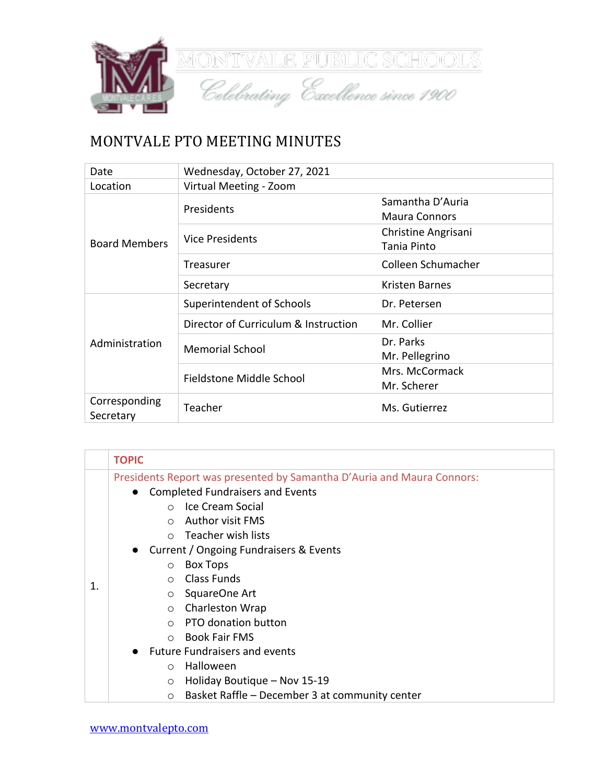

## MONTVALE PTO MEETING MINUTES

| Date                       | Wednesday, October 27, 2021          |                                          |
|----------------------------|--------------------------------------|------------------------------------------|
| Location                   | Virtual Meeting - Zoom               |                                          |
| <b>Board Members</b>       | Presidents                           | Samantha D'Auria<br><b>Maura Connors</b> |
|                            | <b>Vice Presidents</b>               | Christine Angrisani<br>Tania Pinto       |
|                            | Treasurer                            | Colleen Schumacher                       |
|                            | Secretary                            | Kristen Barnes                           |
| Administration             | Superintendent of Schools            | Dr. Petersen                             |
|                            | Director of Curriculum & Instruction | Mr. Collier                              |
|                            | <b>Memorial School</b>               | Dr. Parks<br>Mr. Pellegrino              |
|                            | Fieldstone Middle School             | Mrs. McCormack<br>Mr. Scherer            |
| Corresponding<br>Secretary | Teacher                              | Ms. Gutierrez                            |

|    | <b>TOPIC</b>                                                                                                                                                                                                                                                                                                                                                                                                                                                        |  |
|----|---------------------------------------------------------------------------------------------------------------------------------------------------------------------------------------------------------------------------------------------------------------------------------------------------------------------------------------------------------------------------------------------------------------------------------------------------------------------|--|
| 1. | Presidents Report was presented by Samantha D'Auria and Maura Connors:<br><b>Completed Fundraisers and Events</b><br><b>Ice Cream Social</b><br>$\bigcap$<br>Author visit FMS<br>$\cap$<br>$\circ$ Teacher wish lists<br>Current / Ongoing Fundraisers & Events<br><b>Box Tops</b><br>$\circ$<br><b>Class Funds</b><br>$\bigcap$<br>SquareOne Art<br>$\circ$<br>Charleston Wrap<br>$\circ$<br><b>PTO donation button</b><br>$\bigcap$<br>Book Fair FMS<br>$\bigcap$ |  |
|    | <b>Future Fundraisers and events</b>                                                                                                                                                                                                                                                                                                                                                                                                                                |  |
|    | Halloween<br>$\bigcirc$                                                                                                                                                                                                                                                                                                                                                                                                                                             |  |
|    | Holiday Boutique - Nov 15-19<br>$\circ$                                                                                                                                                                                                                                                                                                                                                                                                                             |  |
|    | Basket Raffle - December 3 at community center<br>$\circ$                                                                                                                                                                                                                                                                                                                                                                                                           |  |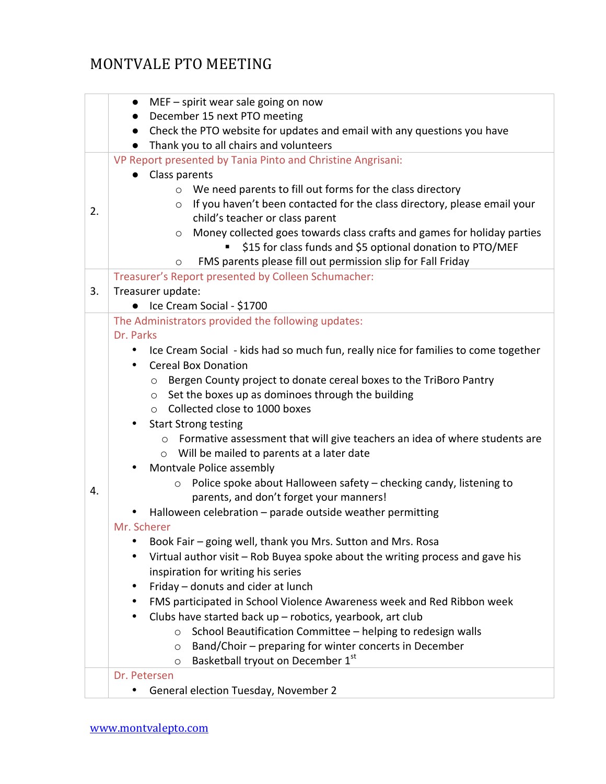## MONTVALE PTO MEETING

|    | MEF - spirit wear sale going on now<br>$\bullet$                                                      |  |  |
|----|-------------------------------------------------------------------------------------------------------|--|--|
|    | December 15 next PTO meeting<br>$\bullet$                                                             |  |  |
|    | Check the PTO website for updates and email with any questions you have<br>$\bullet$                  |  |  |
|    | Thank you to all chairs and volunteers<br>VP Report presented by Tania Pinto and Christine Angrisani: |  |  |
|    | Class parents                                                                                         |  |  |
|    | We need parents to fill out forms for the class directory<br>$\circ$                                  |  |  |
|    | If you haven't been contacted for the class directory, please email your<br>$\circ$                   |  |  |
| 2. | child's teacher or class parent                                                                       |  |  |
|    | Money collected goes towards class crafts and games for holiday parties<br>$\circ$                    |  |  |
|    | \$15 for class funds and \$5 optional donation to PTO/MEF                                             |  |  |
|    | FMS parents please fill out permission slip for Fall Friday<br>$\circ$                                |  |  |
|    | Treasurer's Report presented by Colleen Schumacher:                                                   |  |  |
| 3. | Treasurer update:                                                                                     |  |  |
|    | Ice Cream Social - \$1700                                                                             |  |  |
|    | The Administrators provided the following updates:                                                    |  |  |
|    | Dr. Parks                                                                                             |  |  |
|    | Ice Cream Social - kids had so much fun, really nice for families to come together<br>$\bullet$       |  |  |
|    | <b>Cereal Box Donation</b><br>٠                                                                       |  |  |
|    | Bergen County project to donate cereal boxes to the TriBoro Pantry<br>$\circ$                         |  |  |
|    | Set the boxes up as dominoes through the building<br>$\circ$                                          |  |  |
|    | Collected close to 1000 boxes<br>$\circ$                                                              |  |  |
|    | <b>Start Strong testing</b>                                                                           |  |  |
|    | Formative assessment that will give teachers an idea of where students are<br>$\circ$                 |  |  |
|    | o Will be mailed to parents at a later date                                                           |  |  |
|    | Montvale Police assembly<br>٠                                                                         |  |  |
| 4. | Police spoke about Halloween safety - checking candy, listening to<br>$\circ$                         |  |  |
|    | parents, and don't forget your manners!                                                               |  |  |
|    | Halloween celebration - parade outside weather permitting<br>Mr. Scherer                              |  |  |
|    | Book Fair – going well, thank you Mrs. Sutton and Mrs. Rosa<br>٠                                      |  |  |
|    | Virtual author visit - Rob Buyea spoke about the writing process and gave his<br>٠                    |  |  |
|    | inspiration for writing his series                                                                    |  |  |
|    | Friday - donuts and cider at lunch<br>٠                                                               |  |  |
|    | FMS participated in School Violence Awareness week and Red Ribbon week<br>٠                           |  |  |
|    | Clubs have started back up - robotics, yearbook, art club                                             |  |  |
|    | School Beautification Committee - helping to redesign walls<br>$\circ$                                |  |  |
|    | Band/Choir - preparing for winter concerts in December<br>$\circ$                                     |  |  |
|    | Basketball tryout on December 1st<br>$\circ$                                                          |  |  |
|    | Dr. Petersen                                                                                          |  |  |
|    | General election Tuesday, November 2                                                                  |  |  |
|    |                                                                                                       |  |  |